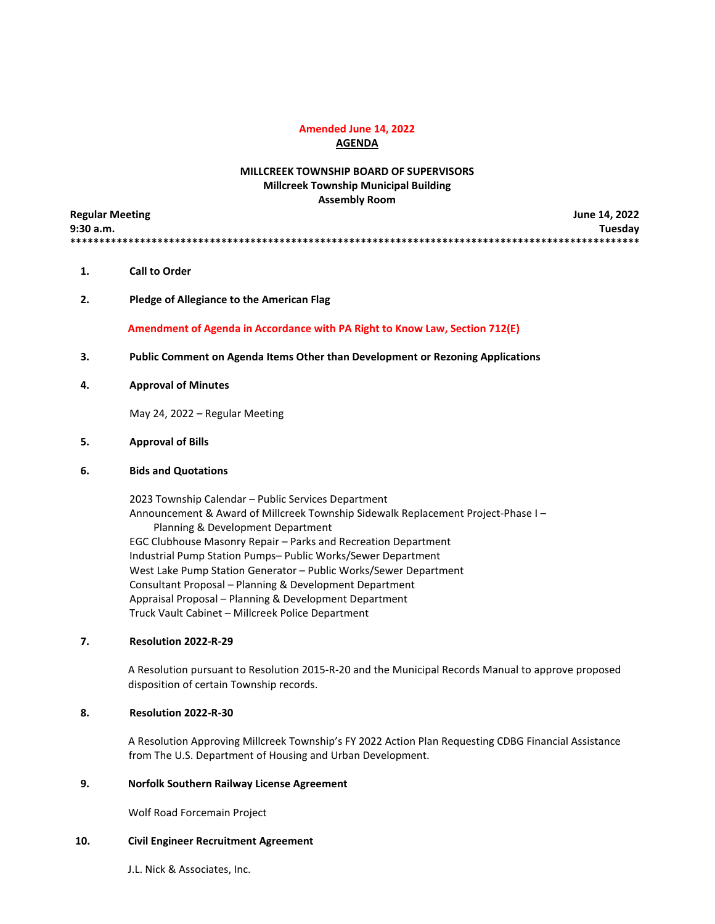# **Amended June 14, 2022**

**AGENDA**

# **MILLCREEK TOWNSHIP BOARD OF SUPERVISORS Millcreek Township Municipal Building Assembly Room**

| <b>Regular Meeting</b> | June 14, 2022 |
|------------------------|---------------|
| 9:30 a.m.              | Tuesday       |
|                        |               |

- **1. Call to Order**
- **2. Pledge of Allegiance to the American Flag**

 **Amendment of Agenda in Accordance with PA Right to Know Law, Section 712(E)**

- **3. Public Comment on Agenda Items Other than Development or Rezoning Applications**
- **4. Approval of Minutes**

May 24, 2022 – Regular Meeting

#### **5. Approval of Bills**

#### **6. Bids and Quotations**

2023 Township Calendar – Public Services Department Announcement & Award of Millcreek Township Sidewalk Replacement Project-Phase I – Planning & Development Department EGC Clubhouse Masonry Repair – Parks and Recreation Department Industrial Pump Station Pumps– Public Works/Sewer Department West Lake Pump Station Generator – Public Works/Sewer Department Consultant Proposal – Planning & Development Department Appraisal Proposal – Planning & Development Department Truck Vault Cabinet – Millcreek Police Department

# **7. Resolution 2022-R-29**

 A Resolution pursuant to Resolution 2015-R-20 and the Municipal Records Manual to approve proposed disposition of certain Township records.

#### **8. Resolution 2022-R-30**

A Resolution Approving Millcreek Township's FY 2022 Action Plan Requesting CDBG Financial Assistance from The U.S. Department of Housing and Urban Development.

# **9. Norfolk Southern Railway License Agreement**

Wolf Road Forcemain Project

# **10. Civil Engineer Recruitment Agreement**

J.L. Nick & Associates, Inc.